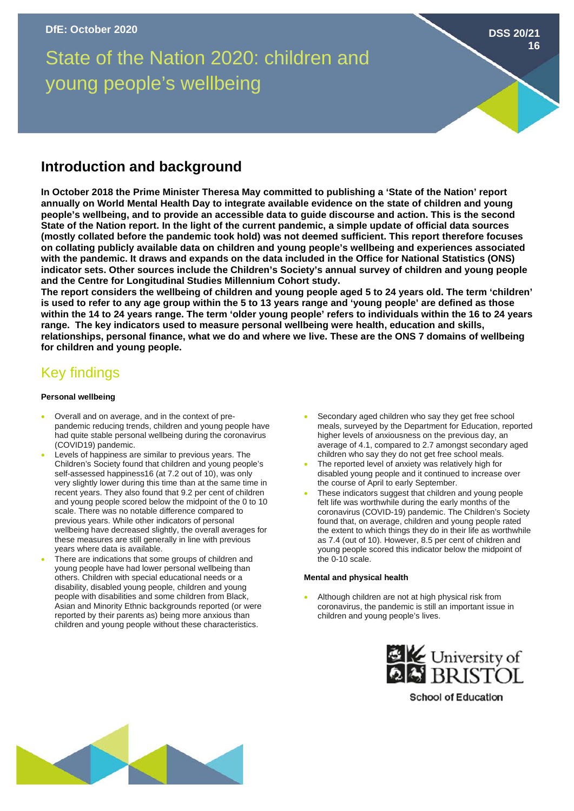State of the Nation 2020: children and young people's wellbeing

# **Introduction and background**

**In October 2018 the Prime Minister Theresa May committed to publishing a 'State of the Nation' report annually on World Mental Health Day to integrate available evidence on the state of children and young people's wellbeing, and to provide an accessible data to guide discourse and action. This is the second State of the Nation report. In the light of the current pandemic, a simple update of official data sources (mostly collated before the pandemic took hold) was not deemed sufficient. This report therefore focuses on collating publicly available data on children and young people's wellbeing and experiences associated with the pandemic. It draws and expands on the data included in the Office for National Statistics (ONS) indicator sets. Other sources include the Children's Society's annual survey of children and young people and the Centre for Longitudinal Studies Millennium Cohort study.** 

**The report considers the wellbeing of children and young people aged 5 to 24 years old. The term 'children' is used to refer to any age group within the 5 to 13 years range and 'young people' are defined as those within the 14 to 24 years range. The term 'older young people' refers to individuals within the 16 to 24 years range. The key indicators used to measure personal wellbeing were health, education and skills, relationships, personal finance, what we do and where we live. These are the ONS 7 domains of wellbeing for children and young people.** 

# Key findings

# **Personal wellbeing**

- Overall and on average, and in the context of prepandemic reducing trends, children and young people have had quite stable personal wellbeing during the coronavirus (COVID19) pandemic.
- Levels of happiness are similar to previous years. The Children's Society found that children and young people's self-assessed happiness16 (at 7.2 out of 10), was only very slightly lower during this time than at the same time in recent years. They also found that 9.2 per cent of children and young people scored below the midpoint of the 0 to 10 scale. There was no notable difference compared to previous years. While other indicators of personal wellbeing have decreased slightly, the overall averages for these measures are still generally in line with previous years where data is available.
- There are indications that some groups of children and young people have had lower personal wellbeing than others. Children with special educational needs or a disability, disabled young people, children and young people with disabilities and some children from Black, Asian and Minority Ethnic backgrounds reported (or were reported by their parents as) being more anxious than children and young people without these characteristics.

Secondary aged children who say they get free school meals, surveyed by the Department for Education, reported higher levels of anxiousness on the previous day, an average of 4.1, compared to 2.7 amongst secondary aged children who say they do not get free school meals.

**DSS 20/21**

**16**

- The reported level of anxiety was relatively high for disabled young people and it continued to increase over the course of April to early September.
- These indicators suggest that children and young people felt life was worthwhile during the early months of the coronavirus (COVID-19) pandemic. The Children's Society found that, on average, children and young people rated the extent to which things they do in their life as worthwhile as 7.4 (out of 10). However, 8.5 per cent of children and young people scored this indicator below the midpoint of the 0-10 scale.

## **Mental and physical health**

• Although children are not at high physical risk from coronavirus, the pandemic is still an important issue in children and young people's lives.



**School of Education**